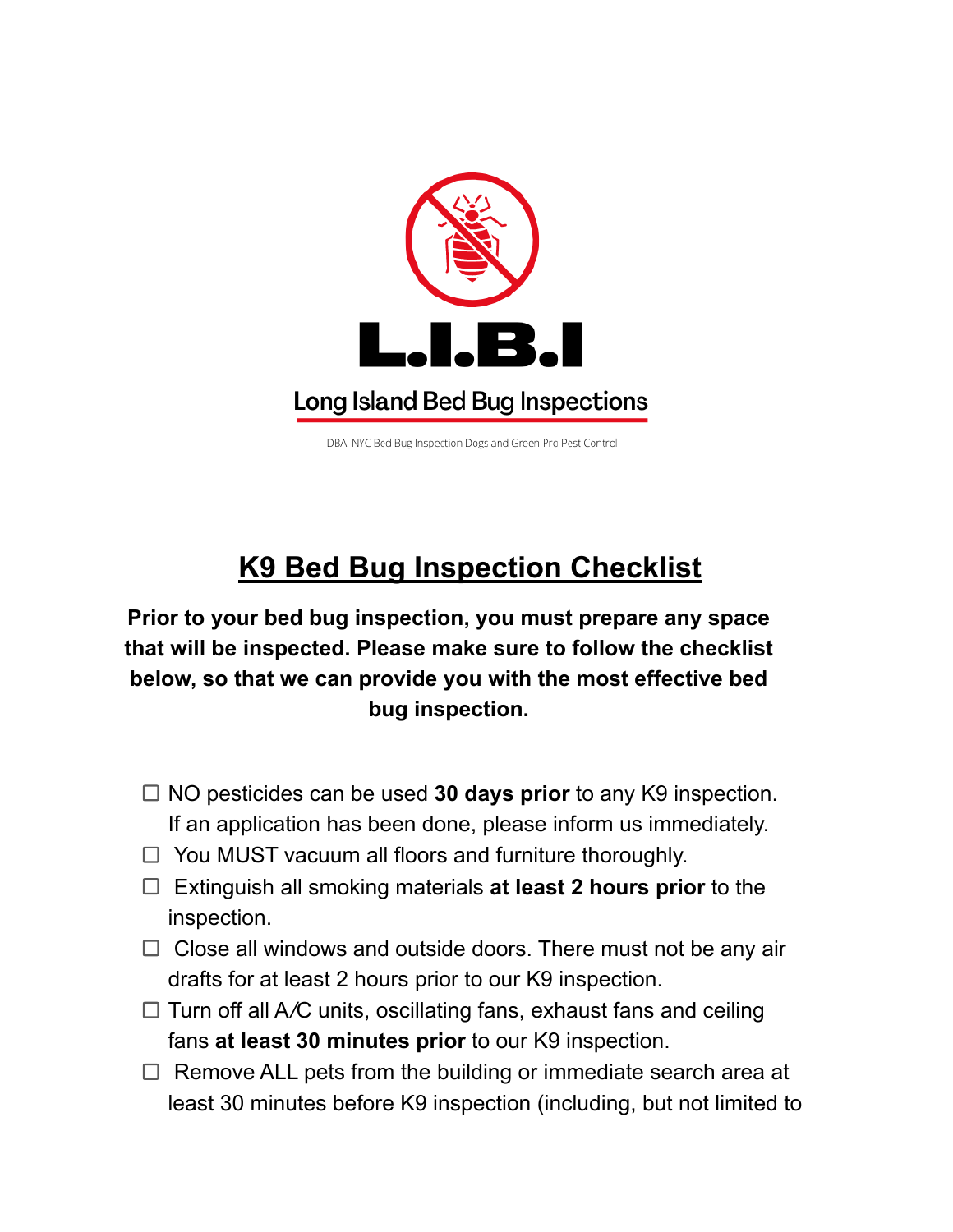

DBA: NYC Bed Bug Inspection Dogs and Green Pro Pest Control

## **K9 Bed Bug Inspection Checklist**

**Prior to your bed bug inspection, you must prepare any space that will be inspected. Please make sure to follow the checklist below, so that we can provide you with the most effective bed bug inspection.**

- NO pesticides can be used **30 days prior** to any K9 inspection. If an application has been done, please inform us immediately.
- $\Box$  You MUST vacuum all floors and furniture thoroughly.
- Extinguish all smoking materials **at least 2 hours prior** to the inspection.
- $\Box$  Close all windows and outside doors. There must not be any air drafts for at least 2 hours prior to our K9 inspection.
- $\Box$  Turn off all A/C units, oscillating fans, exhaust fans and ceiling fans **at least 30 minutes prior** to our K9 inspection.
- $\Box$  Remove ALL pets from the building or immediate search area at least 30 minutes before K9 inspection (including, but not limited to